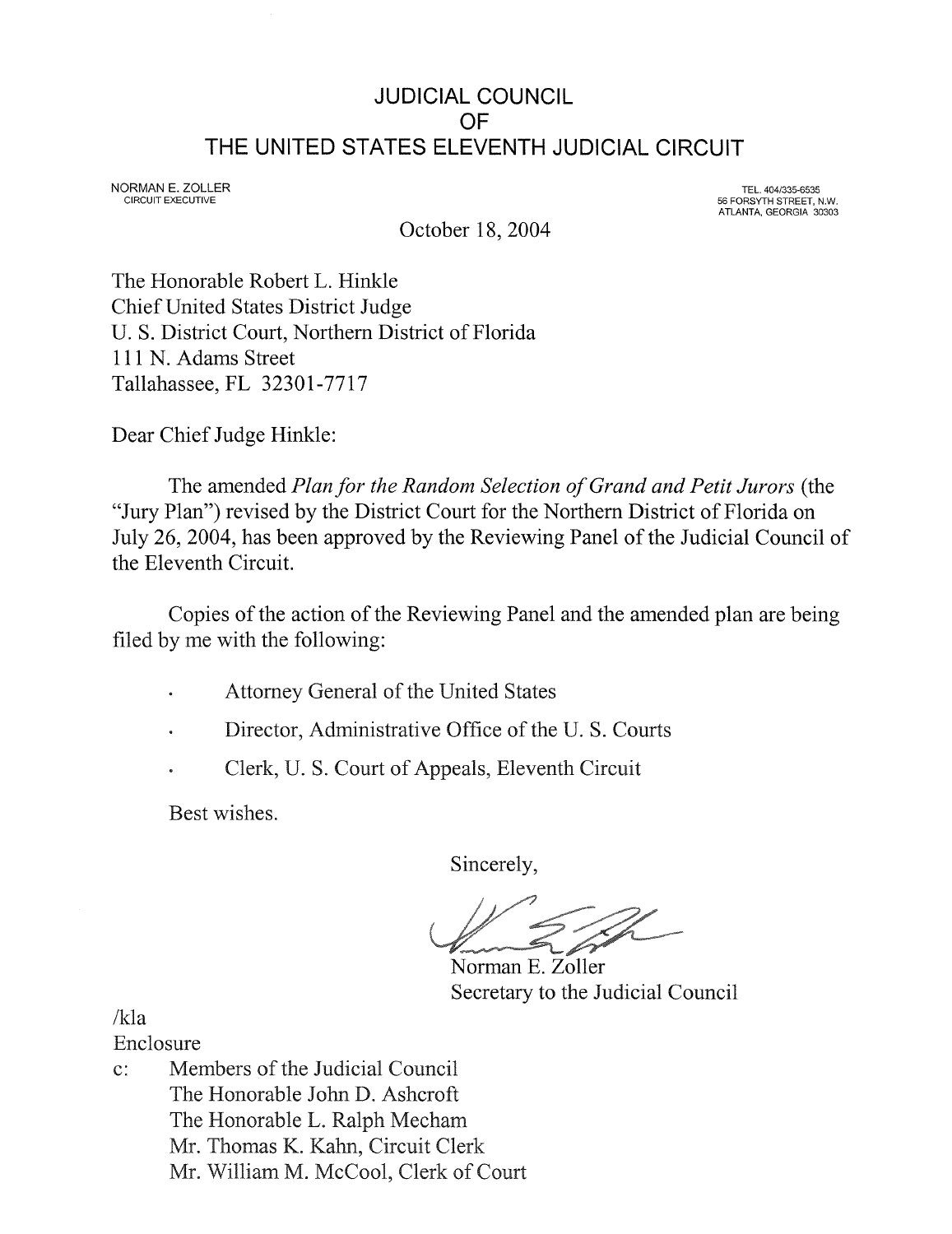## **JUDICIAL COUNCIL OF THE UNITED STATES ELEVENTH JUDICIAL CIRCUIT**

**NORMAN E. ZOLLER TEL. 404/335-6535**

**CIRCUIT EXECUTIVE 56 FORSYTH STREET, N.W.** ATLANTA, **GEORGIA 30303**

October 18, 2004

The Honorable Robert L. Hinkle Chief United States District Judge U. S. District Court, Northern District of Florida 111 N. Adams Street Tallahassee, FL 32301-77 17

Dear Chief Judge Hinkle:

The amended *Planfor the Random Selection of Grand and Petit Jurors* (the "Jury Plan") revised by the District Court for the Northern District of Florida on July 26, 2004, has been approved by the Reviewing Panel of the Judicial Council of the Eleventh Circuit.

Copies of the action of the Reviewing Panel and the amended plan are being filed by me with the following:

- Attorney General of the United States  $\ddot{\phantom{0}}$
- Director, Administrative Office of the U.S. Courts
- Clerk, U. S. Court of Appeals, Eleventh Circuit

Best wishes.

Sincerely,

Norman E. Zoller Secretary to the Judicial Council

/kla

Enclosure

c: Members of the Judicial Council The Honorable John D. Ashcroft The Honorable L. Ralph Mecham Mr. Thomas K. Kahn, Circuit Clerk Mr. William M. McCool, Clerk of Court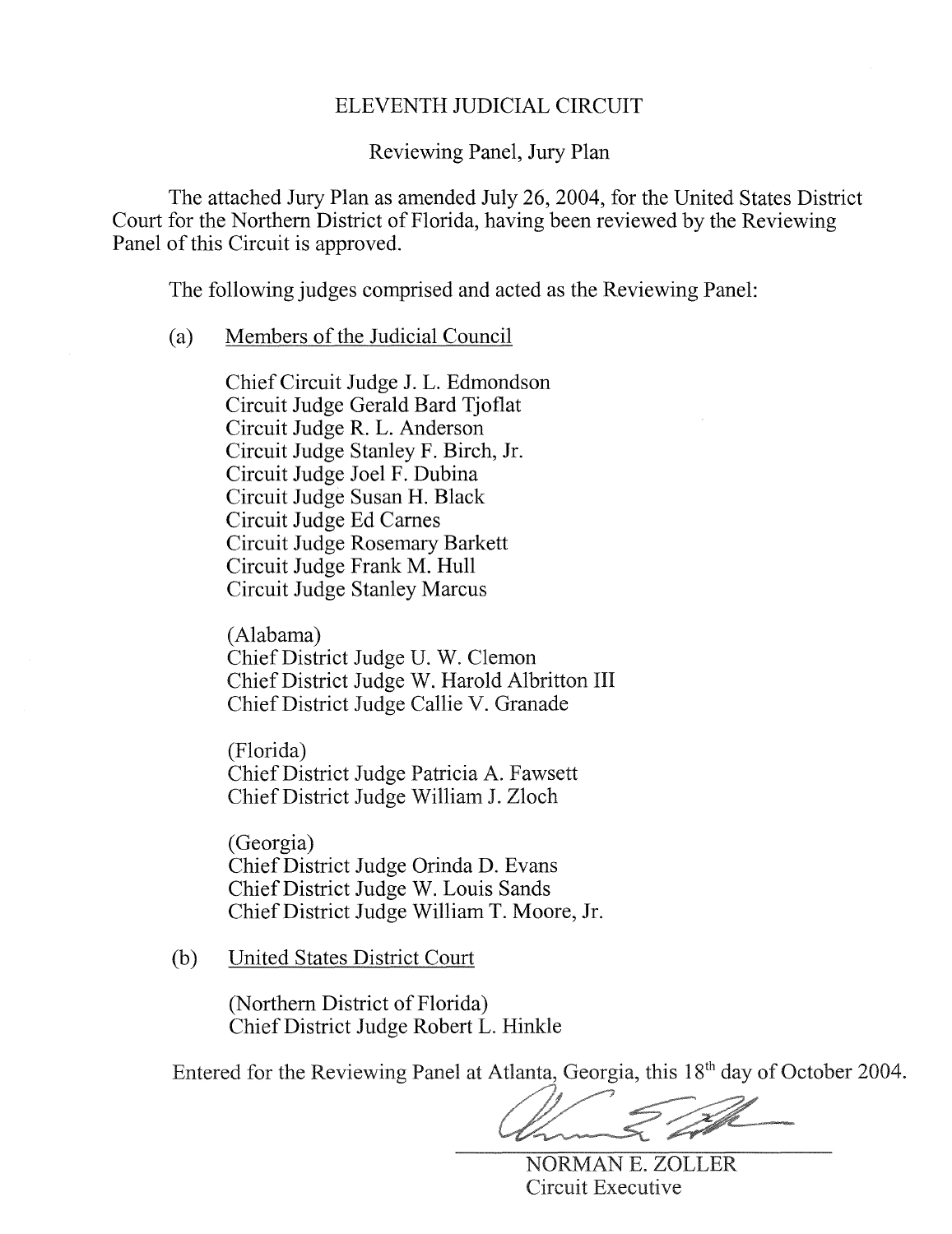### ELEVENTH JUDICIAL CIRCUIT

Reviewing Panel, Jury Plan

The attached Jury Plan as amended July 26, 2004, for the United States District Court for the Northern District of Florida, having been reviewed by the Reviewing Panel of this Circuit is approved.

The following judges comprised and acted as the Reviewing Panel:

### (a) Members of the Judicial Council

Chief Circuit Judge J. L. Edmondson Circuit Judge Gerald Bard Tjoflat Circuit Judge R. L. Anderson Circuit Judge Stanley F. Birch, Jr. Circuit Judge Joel F. Dubina Circuit Judge Susan H. Black Circuit Judge Ed Carnes Circuit Judge Rosemary Barkett Circuit Judge Frank M. Hull Circuit Judge Stanley Marcus

(Alabama) Chief District Judge U. W. Clemon ChiefDistrict Judge W. Harold Albritton III ChiefDistrict Judge Callie V. Granade

(Florida) Chief District Judge Patricia A. Fawsett Chief District Judge WilliamJ. Zioch

(Georgia) Chief District Judge Orinda D. Evans Chief District Judge W. Louis Sands Chief District Judge WilliamT. Moore, Jr.

(b) United States District Court

(Northern District of Florida) Chief District Judge Robert L. Hinkle

Entered for the Reviewing Panel at Atlanta, Georgia, this <sup>1</sup> **<sup>8</sup> th** day of October 2004.

NORMAN E. ZOLLER Circuit Executive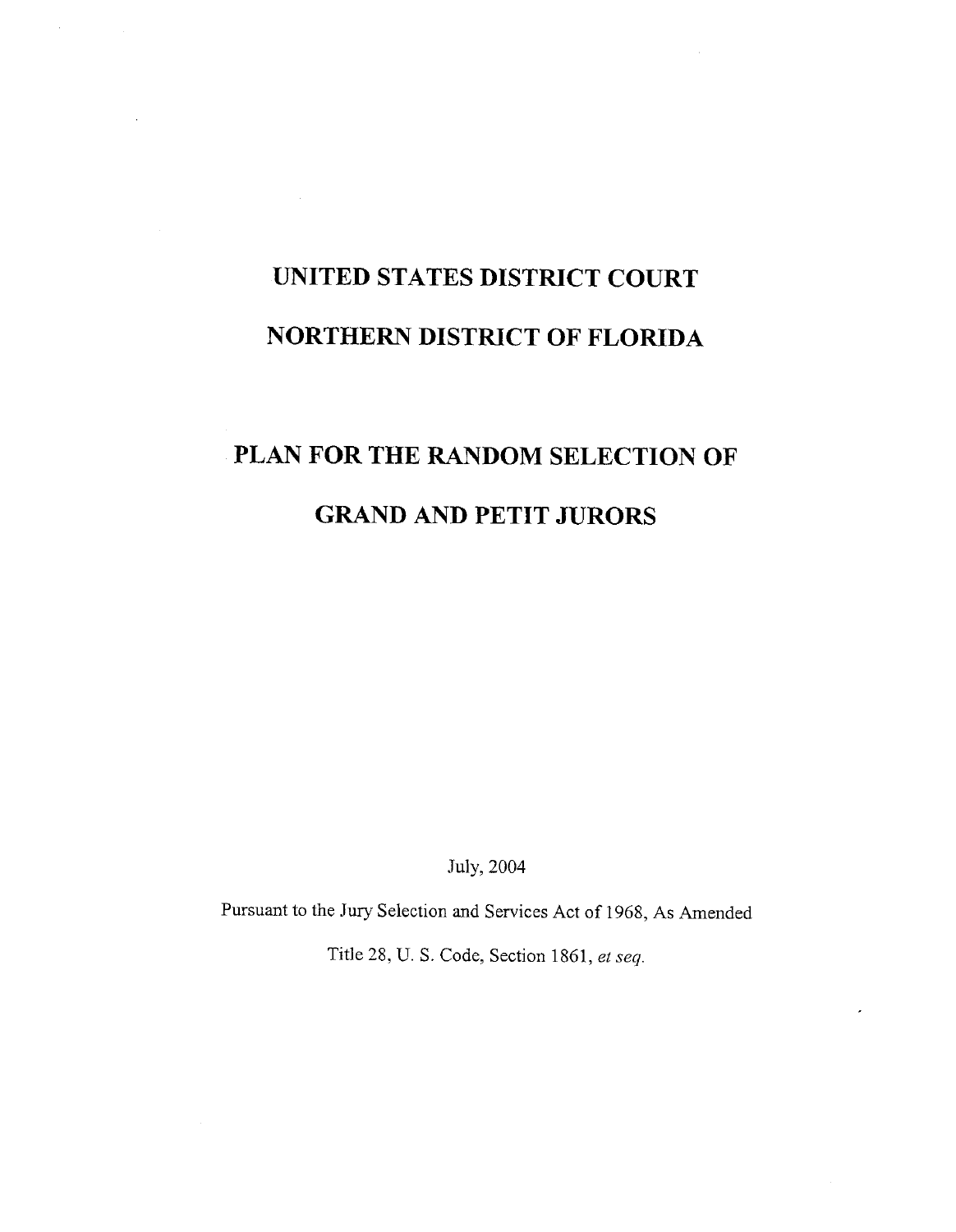# UNITED STATES DISTRICT COURT **NORTHERN DISTRICT OF FLORIDA**

 $\bar{z}$ 

## PLAN FOR THE RANDOM SELECTION OF **GRAND AND PETIT JURORS**

July, 2004

Pursuant to the Jury Selection and Services Act of 1968, As Amended

Title 28, U.S. Code, Section 1861, et seq.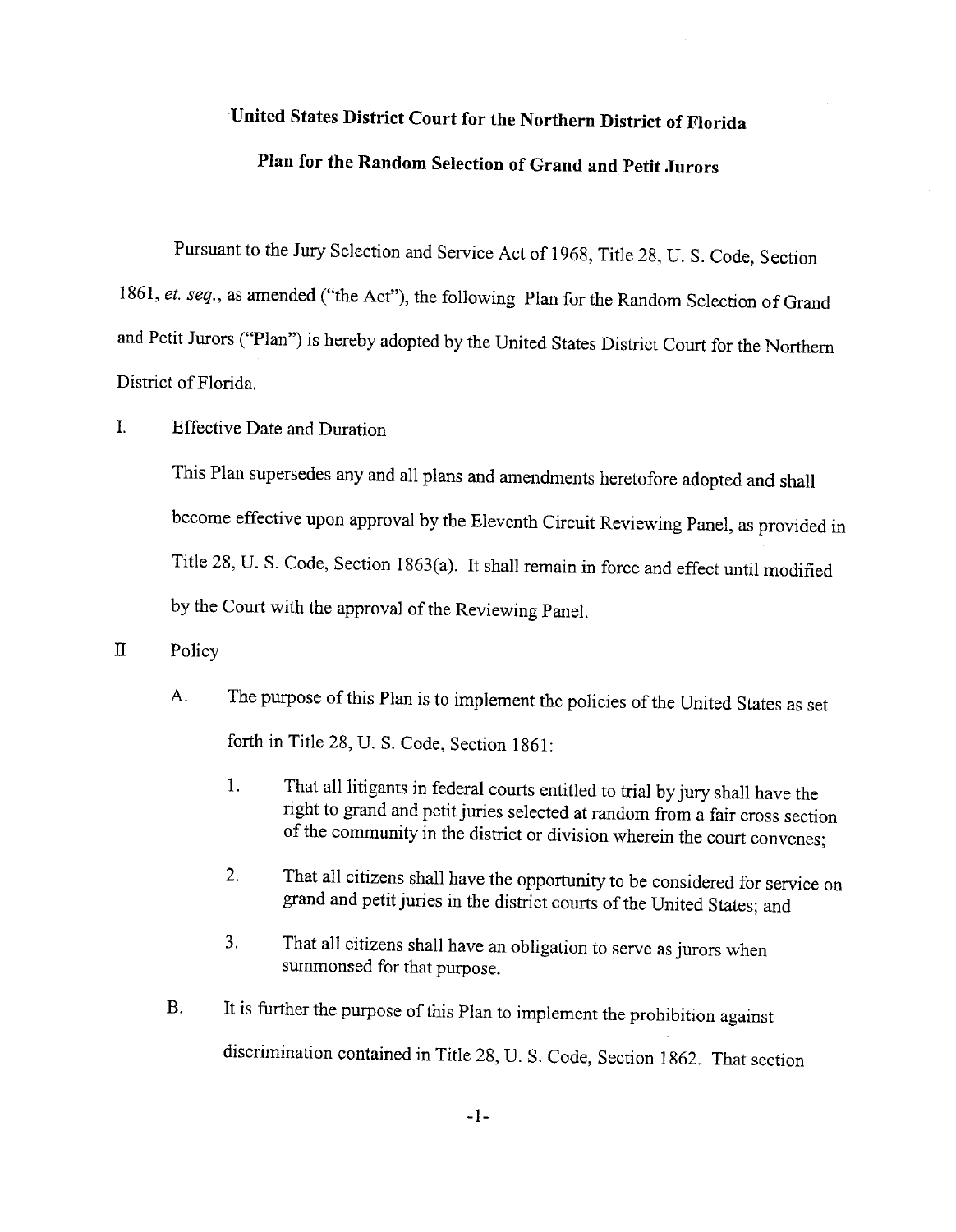## United States District Court for the Northern District of Florida Plan for the Random Selection of Grand and Petit Jurors

Pursuant to the Jury Selection and Service Act of 1968, Title 28, U.S. Code, Section 1861, et. seq., as amended ("the Act"), the following Plan for the Random Selection of Grand and Petit Jurors ("Plan") is hereby adopted by the United States District Court for the Northern District of Florida.

 $\mathbf{I}$ . **Effective Date and Duration** 

> This Plan supersedes any and all plans and amendments heretofore adopted and shall become effective upon approval by the Eleventh Circuit Reviewing Panel, as provided in Title 28, U.S. Code, Section 1863(a). It shall remain in force and effect until modified by the Court with the approval of the Reviewing Panel.

- $\Pi$ Policy
	- The purpose of this Plan is to implement the policies of the United States as set  $A_{\cdot}$ forth in Title 28, U.S. Code, Section 1861:
		- That all litigants in federal courts entitled to trial by jury shall have the  $1.$ right to grand and petit juries selected at random from a fair cross section of the community in the district or division wherein the court convenes;
		- That all citizens shall have the opportunity to be considered for service on  $2.$ grand and petit juries in the district courts of the United States; and
		- $3<sub>1</sub>$ That all citizens shall have an obligation to serve as jurors when summonsed for that purpose.
	- It is further the purpose of this Plan to implement the prohibition against  $B.$ discrimination contained in Title 28, U.S. Code, Section 1862. That section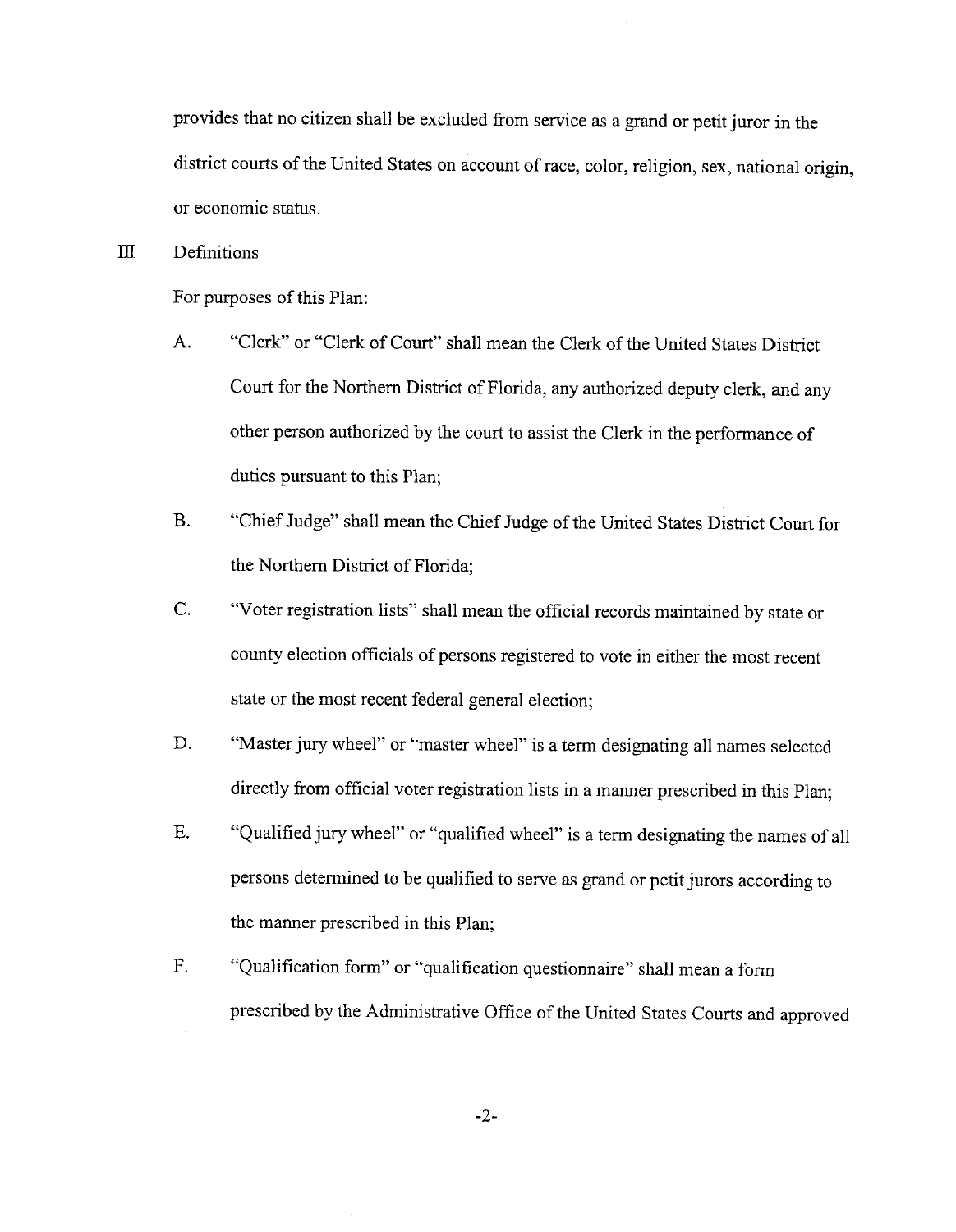provides that no citizen shall be excluded from service as a grand or petit juror in the district courts of the United States on account of race, color, religion, sex, national origin, or economic status.

#### $\mathbf{m}$ Definitions

For purposes of this Plan:

- $A.$ "Clerk" or "Clerk of Court" shall mean the Clerk of the United States District Court for the Northern District of Florida, any authorized deputy clerk, and any other person authorized by the court to assist the Clerk in the performance of duties pursuant to this Plan;
- **B.** "Chief Judge" shall mean the Chief Judge of the United States District Court for the Northern District of Florida;
- $C.$ "Voter registration lists" shall mean the official records maintained by state or county election officials of persons registered to vote in either the most recent state or the most recent federal general election;
- D. "Master jury wheel" or "master wheel" is a term designating all names selected directly from official voter registration lists in a manner prescribed in this Plan:
- "Qualified jury wheel" or "qualified wheel" is a term designating the names of all  $E.$ persons determined to be qualified to serve as grand or petit jurors according to the manner prescribed in this Plan;
- "Qualification form" or "qualification questionnaire" shall mean a form  $F.$ prescribed by the Administrative Office of the United States Courts and approved

 $-2-$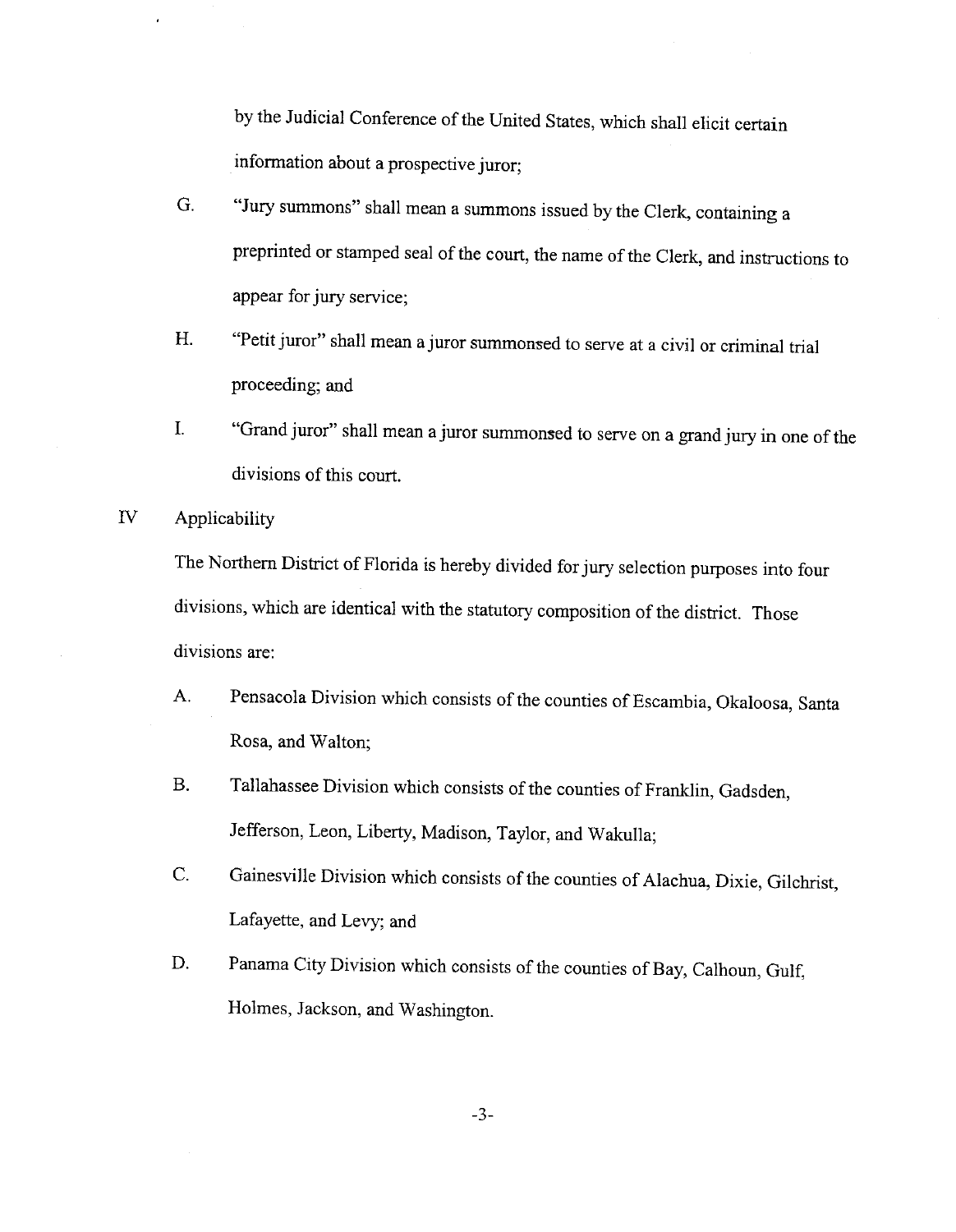by the Judicial Conference of the United States, which shall elicit certain information about a prospective juror;

- "Jury summons" shall mean a summons issued by the Clerk, containing a G. preprinted or stamped seal of the court, the name of the Clerk, and instructions to appear for jury service;
- "Petit juror" shall mean a juror summonsed to serve at a civil or criminal trial Η. proceeding; and
- $\mathbf{I}$ . "Grand juror" shall mean a juror summonsed to serve on a grand jury in one of the divisions of this court.
- IV Applicability

The Northern District of Florida is hereby divided for jury selection purposes into four divisions, which are identical with the statutory composition of the district. Those divisions are:

- Pensacola Division which consists of the counties of Escambia, Okaloosa, Santa  $A.$ Rosa, and Walton;
- Tallahassee Division which consists of the counties of Franklin, Gadsden, **B.** Jefferson, Leon, Liberty, Madison, Taylor, and Wakulla;
- Gainesville Division which consists of the counties of Alachua, Dixie, Gilchrist,  $C.$ Lafayette, and Levy; and
- Panama City Division which consists of the counties of Bay, Calhoun, Gulf, D. Holmes, Jackson, and Washington.

 $-3-$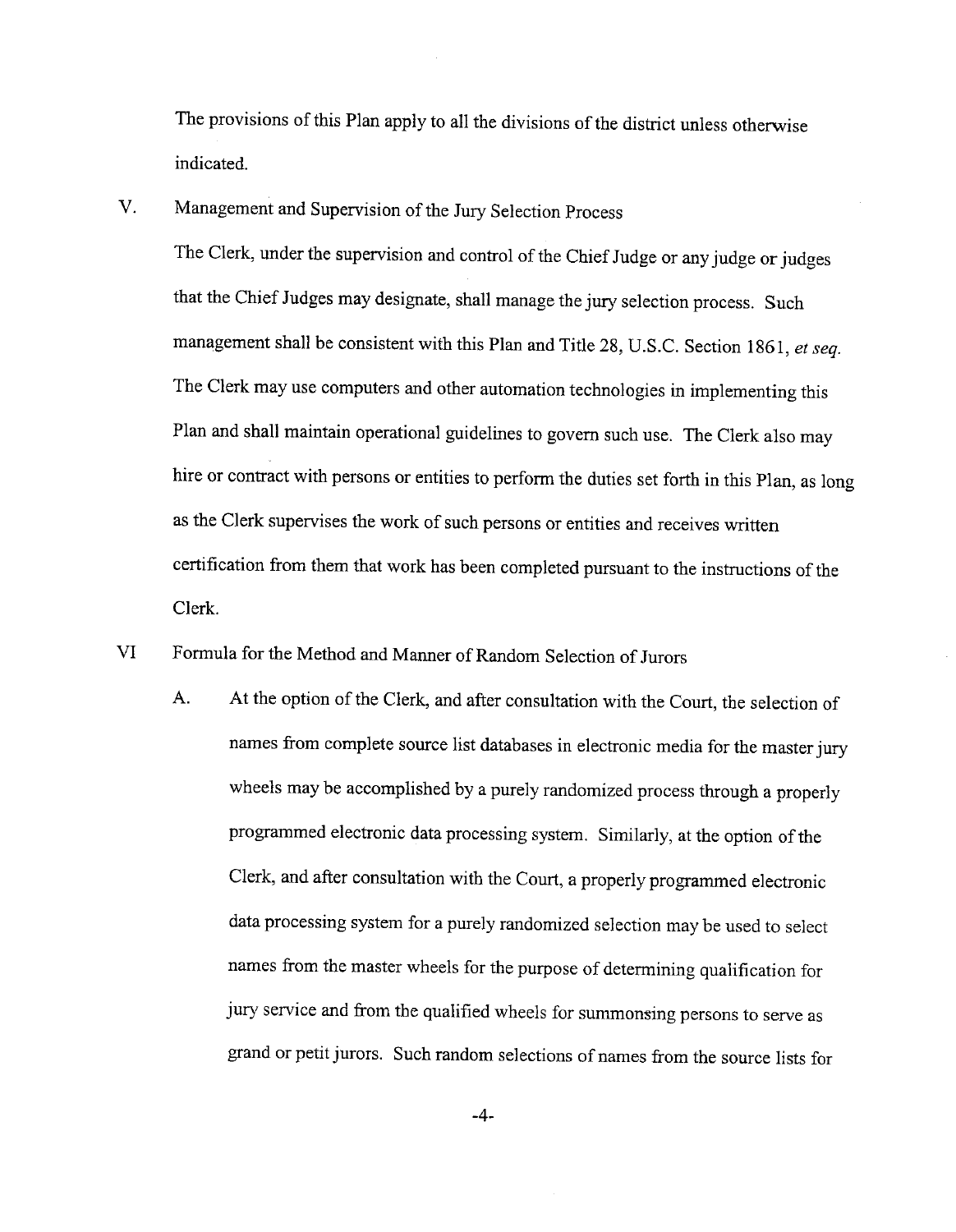The provisions of this Plan apply to all the divisions of the district unless otherwise indicated.

V. Management and Supervision of the Jury Selection Process

> The Clerk, under the supervision and control of the Chief Judge or any judge or judges that the Chief Judges may designate, shall manage the jury selection process. Such management shall be consistent with this Plan and Title 28, U.S.C. Section 1861, et seq. The Clerk may use computers and other automation technologies in implementing this Plan and shall maintain operational guidelines to govern such use. The Clerk also may hire or contract with persons or entities to perform the duties set forth in this Plan, as long as the Clerk supervises the work of such persons or entities and receives written certification from them that work has been completed pursuant to the instructions of the Clerk.

- **VI** Formula for the Method and Manner of Random Selection of Jurors
	- $A<sub>1</sub>$ At the option of the Clerk, and after consultation with the Court, the selection of names from complete source list databases in electronic media for the master jury wheels may be accomplished by a purely randomized process through a properly programmed electronic data processing system. Similarly, at the option of the Clerk, and after consultation with the Court, a properly programmed electronic data processing system for a purely randomized selection may be used to select names from the master wheels for the purpose of determining qualification for jury service and from the qualified wheels for summonsing persons to serve as grand or petit jurors. Such random selections of names from the source lists for

 $-4-$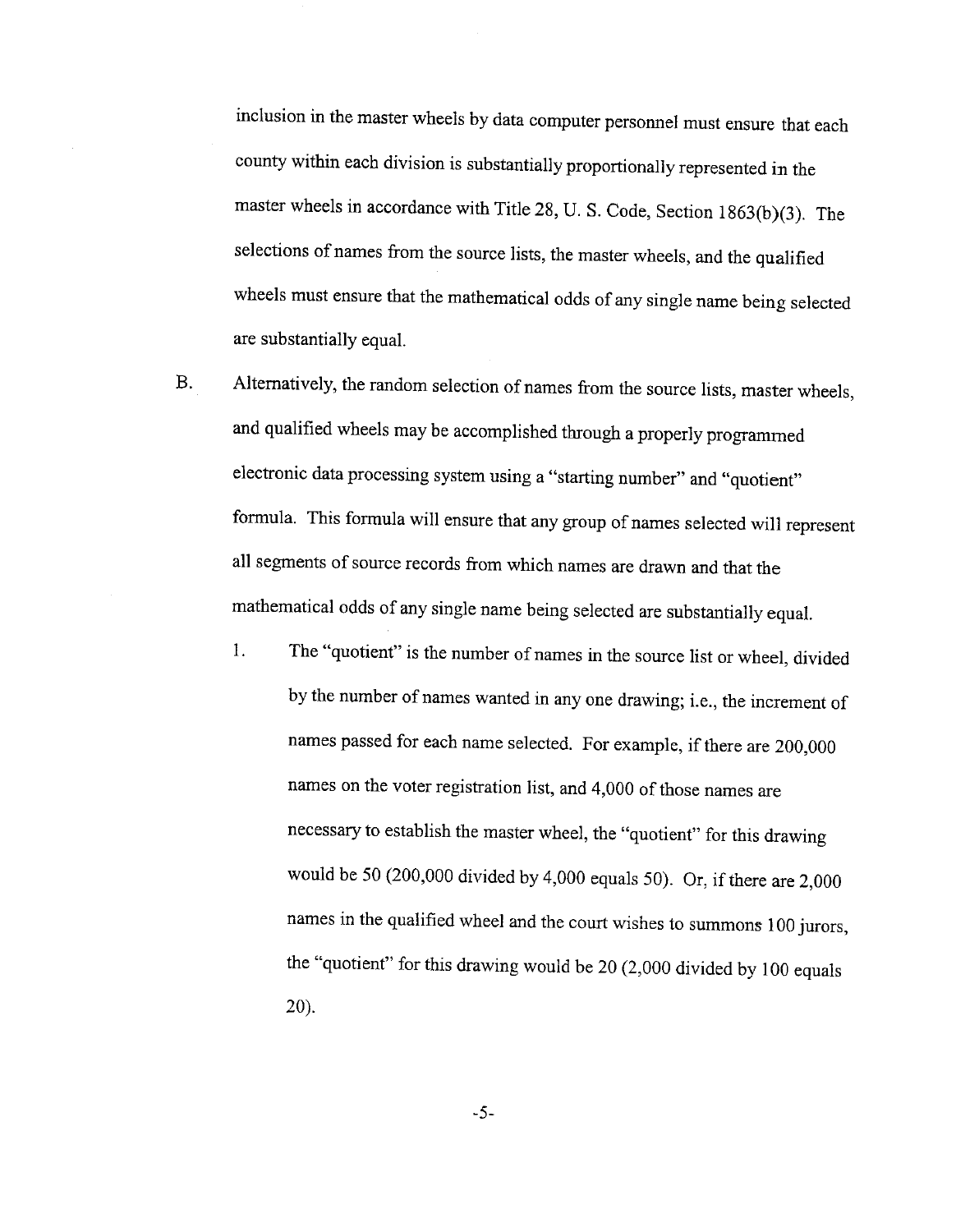inclusion in the master wheels by data computer personnel must ensure that each county within each division is substantially proportionally represented in the master wheels in accordance with Title 28, U. S. Code, Section 1863(b)(3). The selections of names from the source lists, the master wheels, and the qualified wheels must ensure that the mathematical odds of any single name being selected are substantially equal.

- Alternatively, the random selection of names from the source lists, master wheels, **B.** and qualified wheels may be accomplished through a properly programmed electronic data processing system using a "starting number" and "quotient" formula. This formula will ensure that any group of names selected will represent all segments of source records from which names are drawn and that the mathematical odds of any single name being selected are substantially equal.
	- The "quotient" is the number of names in the source list or wheel, divided 1. by the number of names wanted in any one drawing; i.e., the increment of names passed for each name selected. For example, if there are 200,000 names on the voter registration list, and 4,000 of those names are necessary to establish the master wheel, the "quotient" for this drawing would be 50 (200,000 divided by 4,000 equals 50). Or, if there are  $2,000$ names in the qualified wheel and the court wishes to summons 100 jurors, the "quotient" for this drawing would be 20 (2,000 divided by 100 equals  $20$ ).

 $-5-$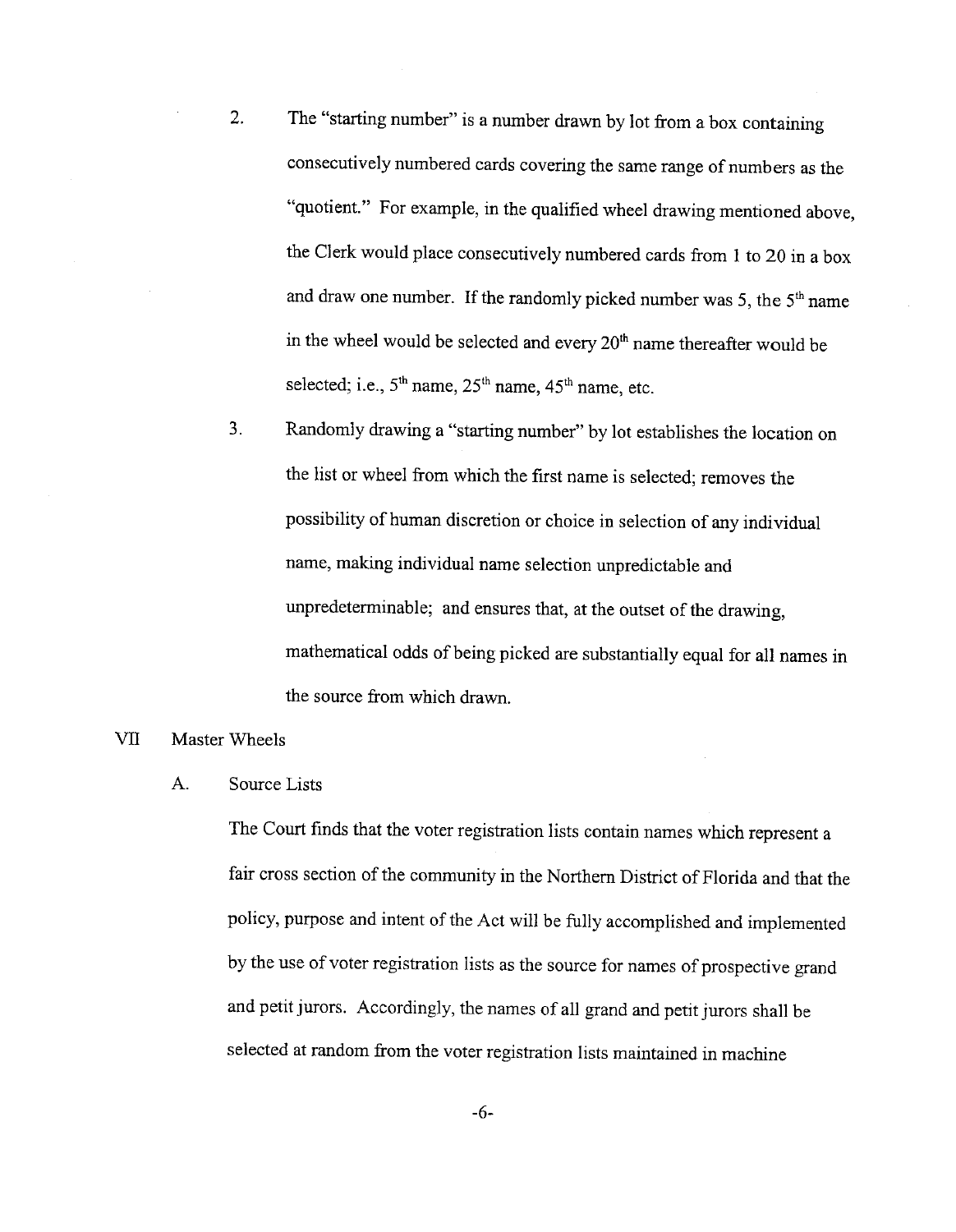- The "starting number" is a number drawn by lot from a box containing  $2.$ consecutively numbered cards covering the same range of numbers as the "quotient." For example, in the qualified wheel drawing mentioned above, the Clerk would place consecutively numbered cards from 1 to 20 in a box and draw one number. If the randomly picked number was 5, the 5<sup>th</sup> name in the wheel would be selected and every 20<sup>th</sup> name thereafter would be selected; i.e., 5<sup>th</sup> name, 25<sup>th</sup> name, 45<sup>th</sup> name, etc.
- $3<sub>1</sub>$ Randomly drawing a "starting number" by lot establishes the location on the list or wheel from which the first name is selected; removes the possibility of human discretion or choice in selection of any individual name, making individual name selection unpredictable and unpredeterminable; and ensures that, at the outset of the drawing, mathematical odds of being picked are substantially equal for all names in the source from which drawn.

#### VII Master Wheels

#### А. Source Lists

The Court finds that the voter registration lists contain names which represent a fair cross section of the community in the Northern District of Florida and that the policy, purpose and intent of the Act will be fully accomplished and implemented by the use of voter registration lists as the source for names of prospective grand and petit jurors. Accordingly, the names of all grand and petit jurors shall be selected at random from the voter registration lists maintained in machine

 $-6-$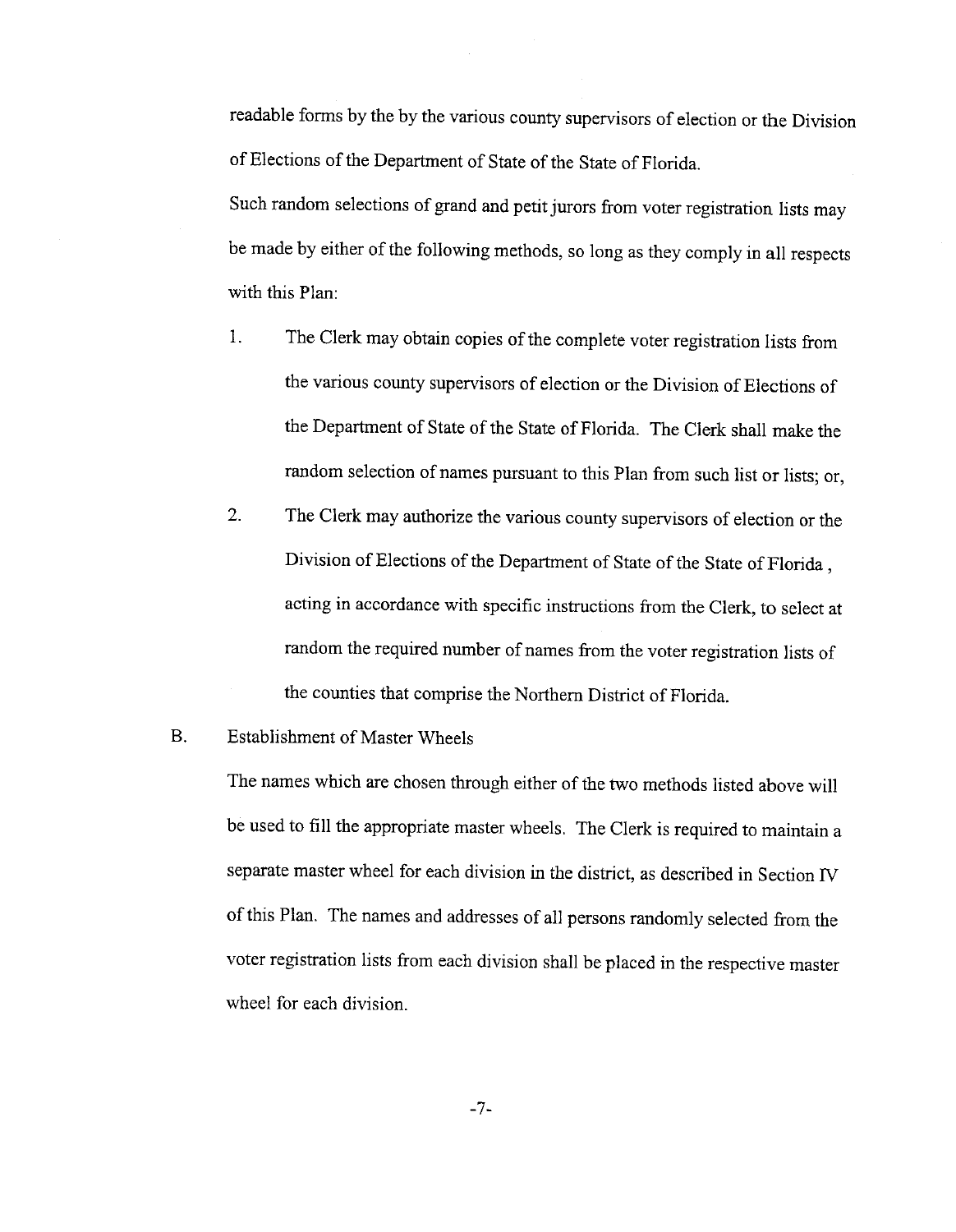readable forms by the by the various county supervisors of election or the Division of Elections of the Department of State of the State of Florida.

Such random selections of grand and petit jurors from voter registration lists may be made by either of the following methods, so long as they comply in all respects with this Plan:

- The Clerk may obtain copies of the complete voter registration lists from  $1.$ the various county supervisors of election or the Division of Elections of the Department of State of the State of Florida. The Clerk shall make the random selection of names pursuant to this Plan from such list or lists; or,
- $2.$ The Clerk may authorize the various county supervisors of election or the Division of Elections of the Department of State of the State of Florida, acting in accordance with specific instructions from the Clerk, to select at random the required number of names from the voter registration lists of the counties that comprise the Northern District of Florida.

#### $B<sub>1</sub>$ Establishment of Master Wheels

The names which are chosen through either of the two methods listed above will be used to fill the appropriate master wheels. The Clerk is required to maintain a separate master wheel for each division in the district, as described in Section IV of this Plan. The names and addresses of all persons randomly selected from the voter registration lists from each division shall be placed in the respective master wheel for each division.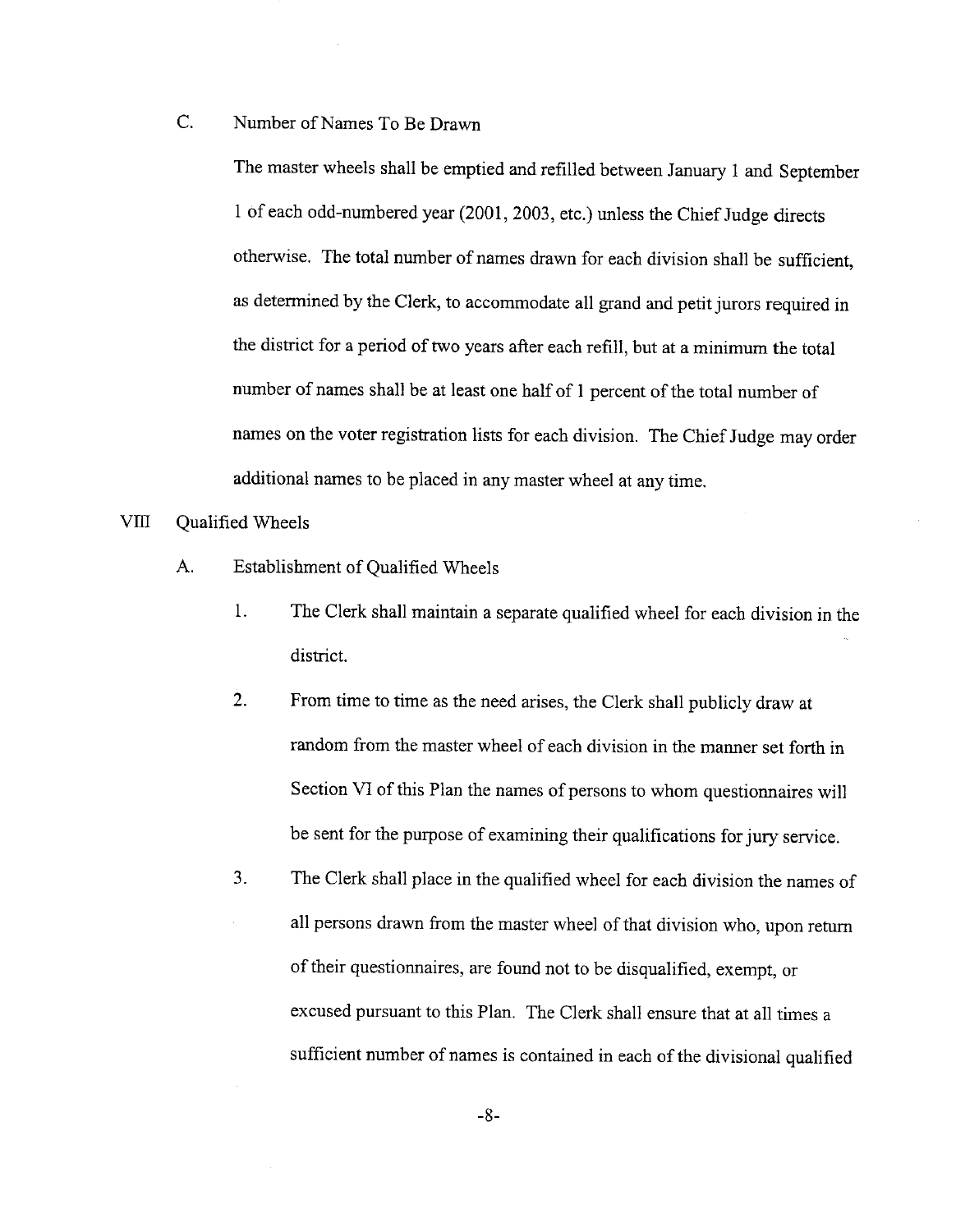$C_{\cdot}$ Number of Names To Be Drawn

> The master wheels shall be emptied and refilled between January 1 and September 1 of each odd-numbered year (2001, 2003, etc.) unless the Chief Judge directs otherwise. The total number of names drawn for each division shall be sufficient, as determined by the Clerk, to accommodate all grand and petit jurors required in the district for a period of two years after each refill, but at a minimum the total number of names shall be at least one half of 1 percent of the total number of names on the voter registration lists for each division. The Chief Judge may order additional names to be placed in any master wheel at any time.

- **VIII** Qualified Wheels
	- $A.$ Establishment of Qualified Wheels
		- $1.$ The Clerk shall maintain a separate qualified wheel for each division in the district.
		- $2.$ From time to time as the need arises, the Clerk shall publicly draw at random from the master wheel of each division in the manner set forth in Section VI of this Plan the names of persons to whom questionnaires will be sent for the purpose of examining their qualifications for jury service.
		- $3.$ The Clerk shall place in the qualified wheel for each division the names of all persons drawn from the master wheel of that division who, upon return of their questionnaires, are found not to be disqualified, exempt, or excused pursuant to this Plan. The Clerk shall ensure that at all times a sufficient number of names is contained in each of the divisional qualified

 $-8-$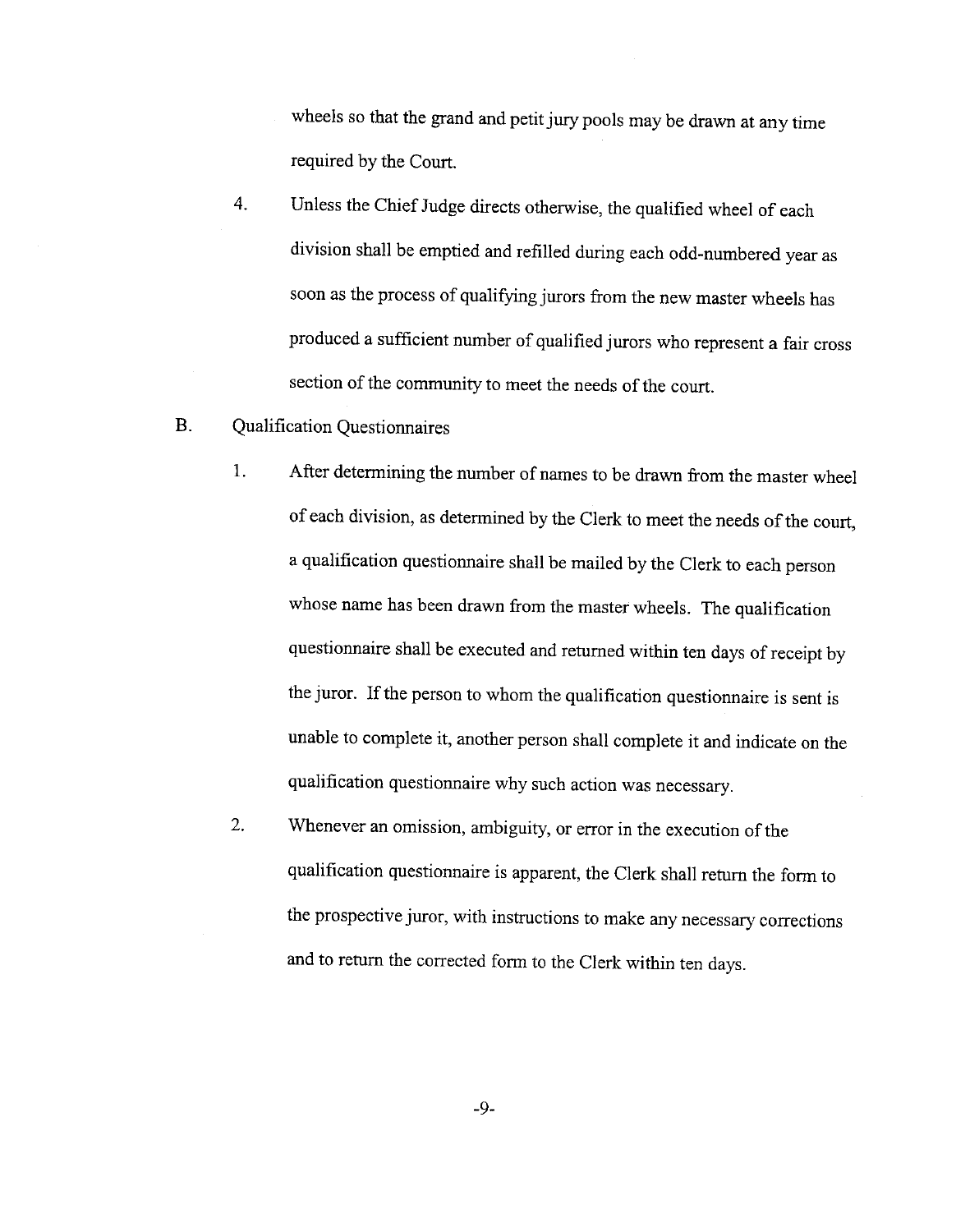wheels so that the grand and petit jury pools may be drawn at any time required by the Court.

- Unless the Chief Judge directs otherwise, the qualified wheel of each  $\overline{4}$ . division shall be emptied and refilled during each odd-numbered year as soon as the process of qualifying jurors from the new master wheels has produced a sufficient number of qualified jurors who represent a fair cross section of the community to meet the needs of the court.
- $B<sub>1</sub>$ **Qualification Questionnaires** 
	- After determining the number of names to be drawn from the master wheel  $1.$ of each division, as determined by the Clerk to meet the needs of the court, a qualification questionnaire shall be mailed by the Clerk to each person whose name has been drawn from the master wheels. The qualification questionnaire shall be executed and returned within ten days of receipt by the juror. If the person to whom the qualification questionnaire is sent is unable to complete it, another person shall complete it and indicate on the qualification questionnaire why such action was necessary.
	- Whenever an omission, ambiguity, or error in the execution of the  $2.$ qualification questionnaire is apparent, the Clerk shall return the form to the prospective juror, with instructions to make any necessary corrections and to return the corrected form to the Clerk within ten days.

 $-9-$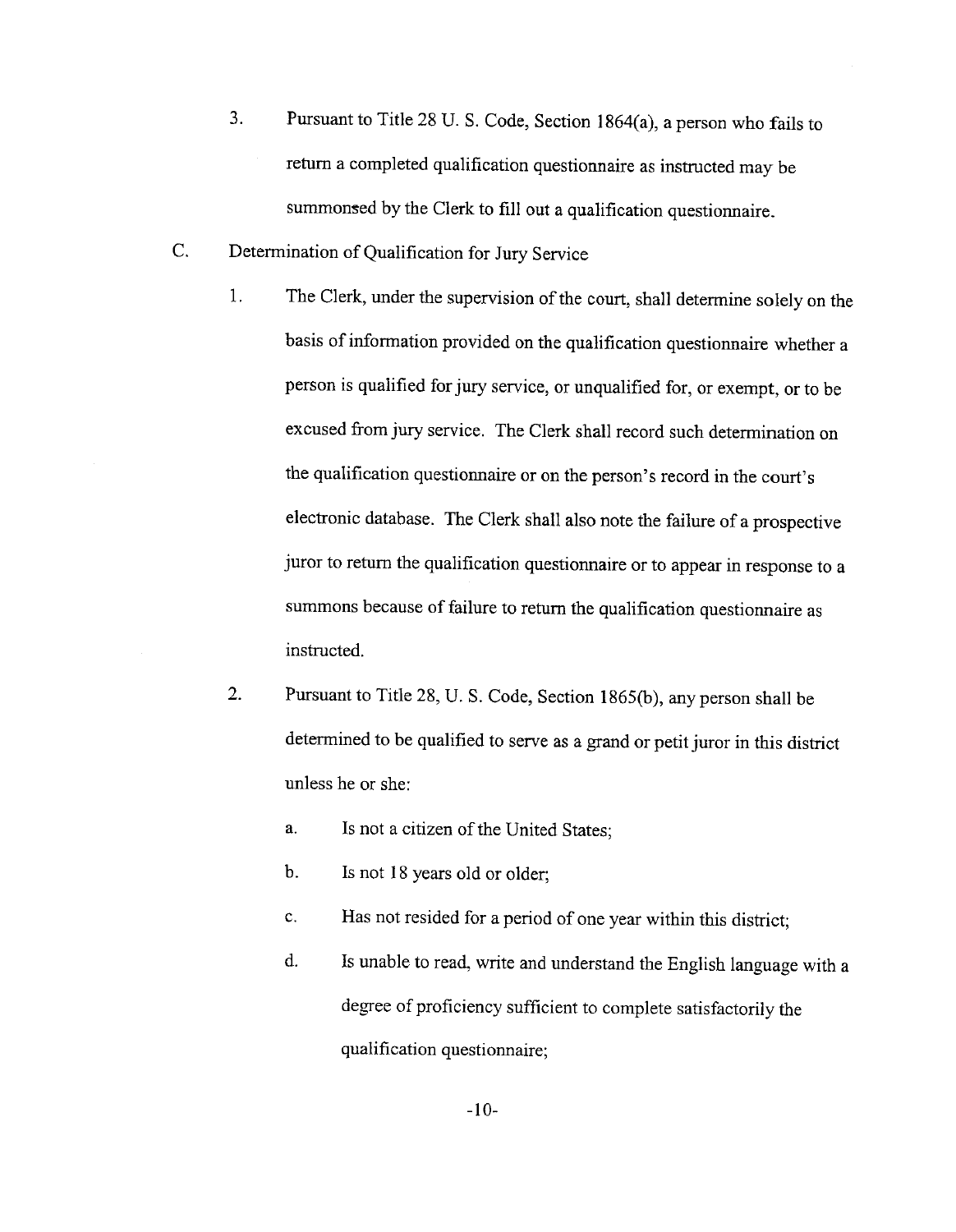- 3. Pursuant to Title 28 U.S. Code, Section 1864(a), a person who fails to return a completed qualification questionnaire as instructed may be summonsed by the Clerk to fill out a qualification questionnaire.
- C. Determination of Qualification for Jury Service
	- 1. The Clerk, under the supervision of the court, shall determine solely on the basis of information provided on the qualification questionnaire whether a person is qualified for jury service, or unqualified for, or exempt, or to be excused from jury service. The Clerk shall record such determination on the qualification questionnaire or on the person's record in the court's electronic database. The Clerk shall also note the failure of a prospective juror to return the qualification questionnaire or to appear in response to a summons because of failure to return the qualification questionnaire as instructed.
	- $\overline{2}$ . Pursuant to Title 28, U.S. Code, Section 1865(b), any person shall be determined to be qualified to serve as a grand or petit juror in this district unless he or she:
		- Is not a citizen of the United States; a.
		- $<sub>b</sub>$ .</sub> Is not 18 years old or older;
		- Has not resided for a period of one year within this district;  $\mathbf{c}$ .
		- d. Is unable to read, write and understand the English language with a degree of proficiency sufficient to complete satisfactorily the qualification questionnaire;

 $-10-$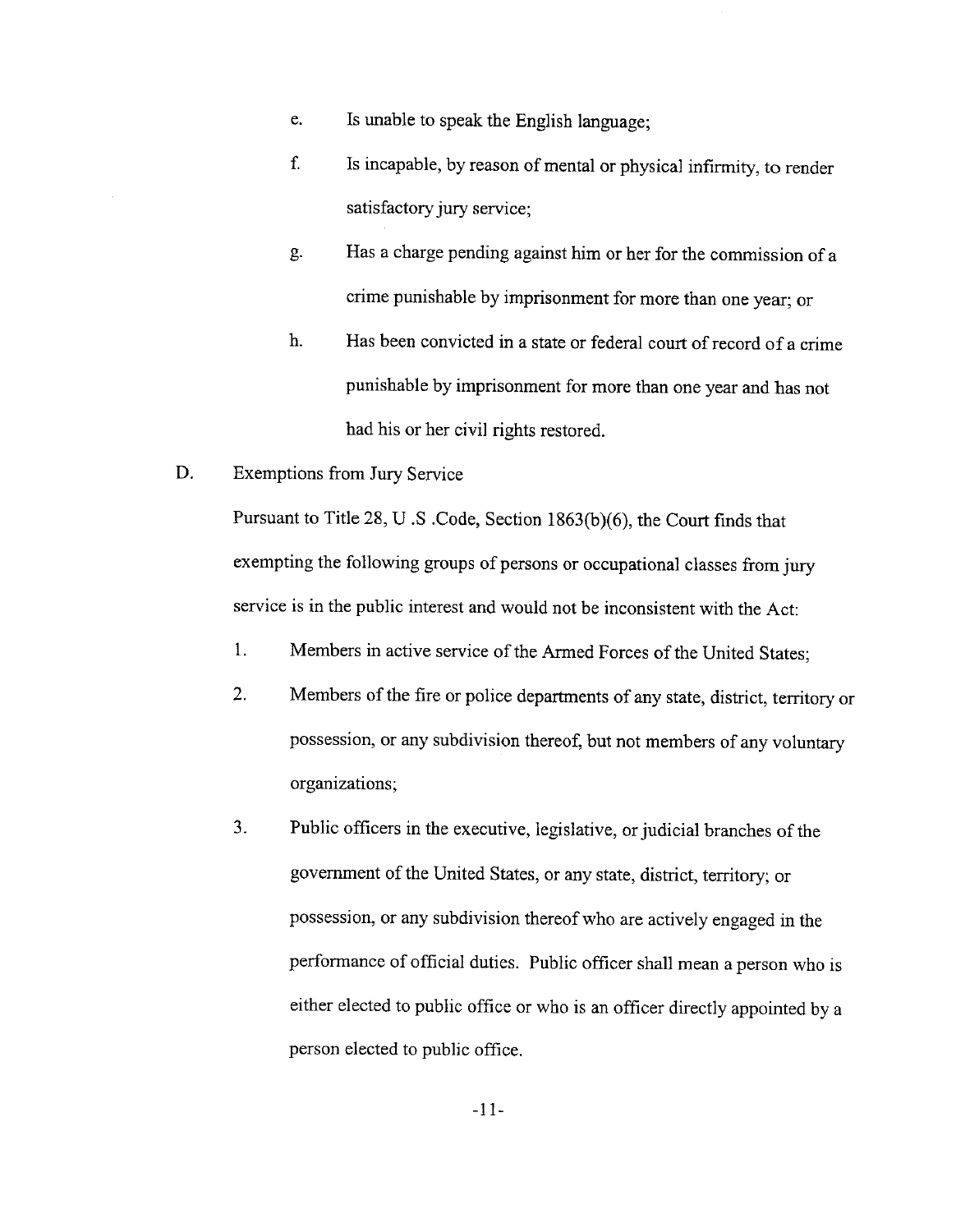- e. Is unable to speak the English language;
- f. Is incapable, by reason of mental or physical infirmity, to render satisfactory jury service;
- Has a charge pending against him or her for the commission of a g. crime punishable by imprisonment for more than one year; or
- Has been convicted in a state or federal court of record of a crime h. punishable by imprisonment for more than one year and has not had his or her civil rights restored.
- D. **Exemptions from Jury Service**

Pursuant to Title 28, U.S. Code, Section 1863(b)(6), the Court finds that exempting the following groups of persons or occupational classes from jury service is in the public interest and would not be inconsistent with the Act:

- Members in active service of the Armed Forces of the United States; 1.
- $2.$ Members of the fire or police departments of any state, district, territory or possession, or any subdivision thereof, but not members of any voluntary organizations;
- Public officers in the executive, legislative, or judicial branches of the  $3<sub>1</sub>$ government of the United States, or any state, district, territory; or possession, or any subdivision thereof who are actively engaged in the performance of official duties. Public officer shall mean a person who is either elected to public office or who is an officer directly appointed by a person elected to public office.

 $-11-$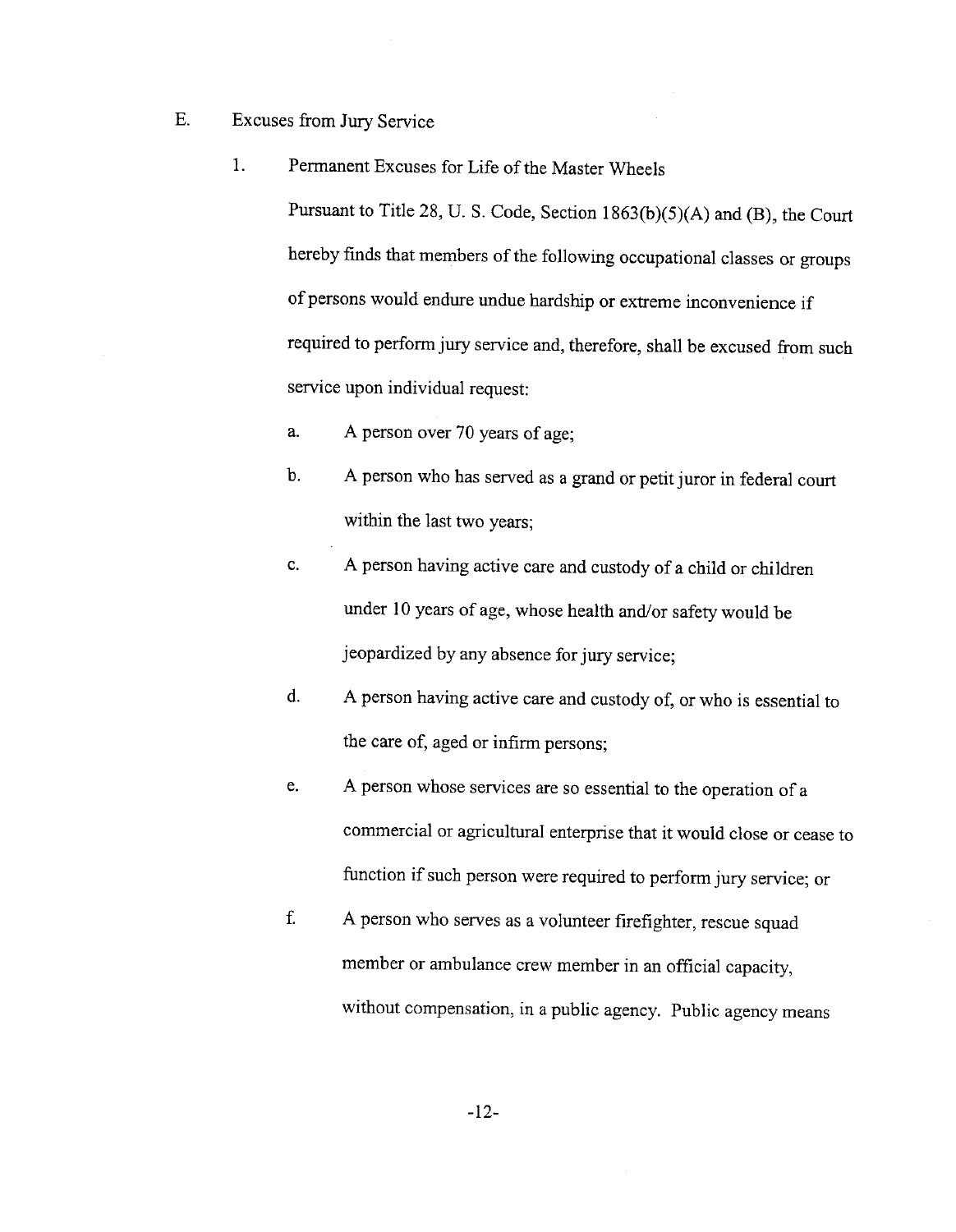- $E.$ **Excuses from Jury Service** 
	- $1.$ Permanent Excuses for Life of the Master Wheels

Pursuant to Title 28, U.S. Code, Section 1863(b)(5)(A) and (B), the Court hereby finds that members of the following occupational classes or groups of persons would endure undue hardship or extreme inconvenience if required to perform jury service and, therefore, shall be excused from such service upon individual request:

- a. A person over 70 years of age;
- $\mathbf b$ . A person who has served as a grand or petit juror in federal court within the last two years;
- A person having active care and custody of a child or children  $\mathbf{c}$ . under 10 years of age, whose health and/or safety would be jeopardized by any absence for jury service;
- $\mathbf{d}$ . A person having active care and custody of, or who is essential to the care of, aged or infirm persons;
- A person whose services are so essential to the operation of a e. commercial or agricultural enterprise that it would close or cease to function if such person were required to perform jury service; or
- f. A person who serves as a volunteer firefighter, rescue squad member or ambulance crew member in an official capacity, without compensation, in a public agency. Public agency means

 $-12-$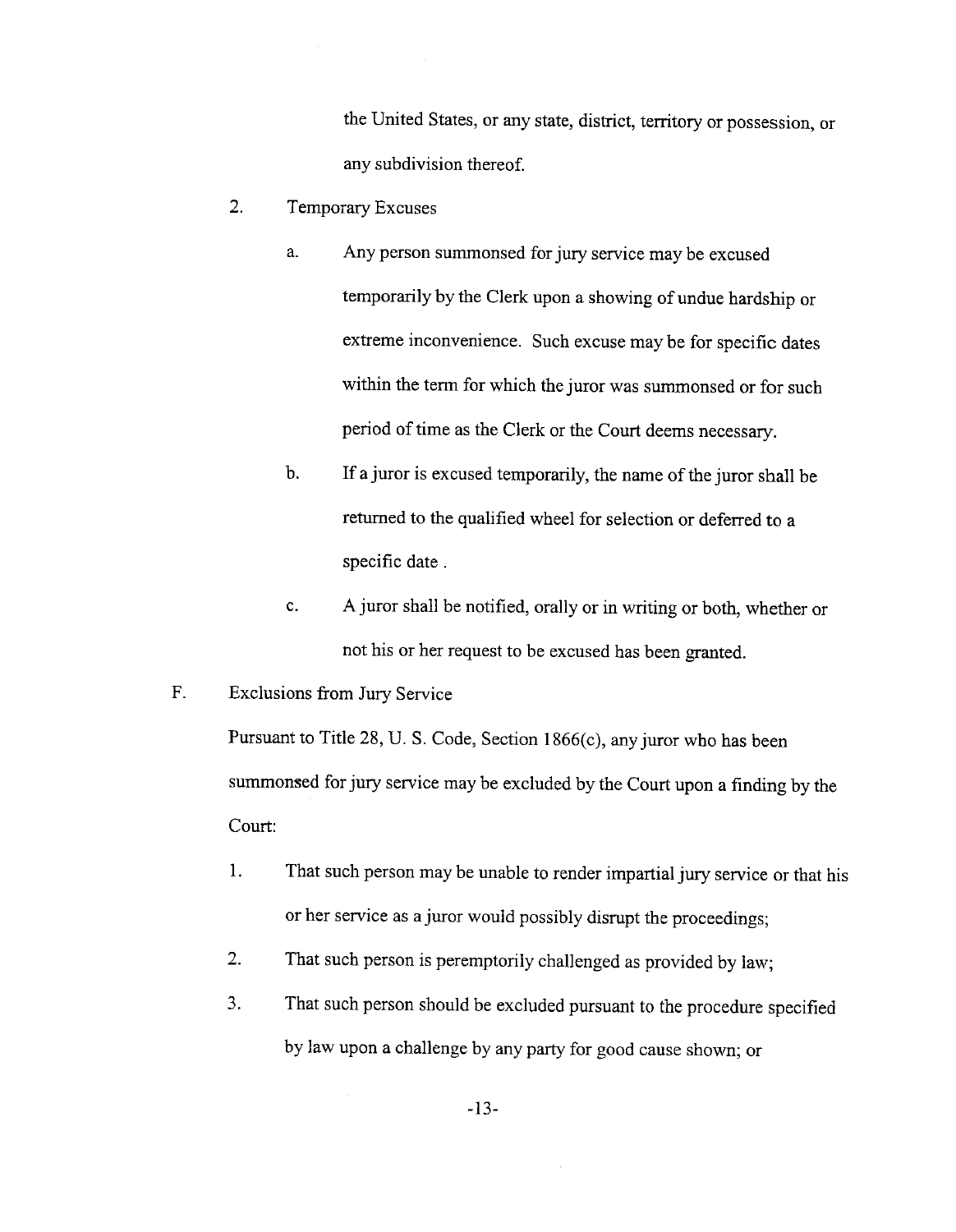the United States, or any state, district, territory or possession, or any subdivision thereof.

- $2.$ **Temporary Excuses** 
	- a. Any person summonsed for jury service may be excused temporarily by the Clerk upon a showing of undue hardship or extreme inconvenience. Such excuse may be for specific dates within the term for which the juror was summonsed or for such period of time as the Clerk or the Court deems necessary.
	- $<sub>b</sub>$ </sub> If a juror is excused temporarily, the name of the juror shall be returned to the qualified wheel for selection or deferred to a specific date.
	- $\mathbf{c}$ . A juror shall be notified, orally or in writing or both, whether or not his or her request to be excused has been granted.
- $F.$ **Exclusions from Jury Service**

Pursuant to Title 28, U. S. Code, Section 1866(c), any juror who has been summonsed for jury service may be excluded by the Court upon a finding by the Court:

- $1<sub>1</sub>$ That such person may be unable to render impartial jury service or that his or her service as a juror would possibly disrupt the proceedings;
- $2.$ That such person is peremptorily challenged as provided by law;
- $3.$ That such person should be excluded pursuant to the procedure specified by law upon a challenge by any party for good cause shown; or

 $-13-$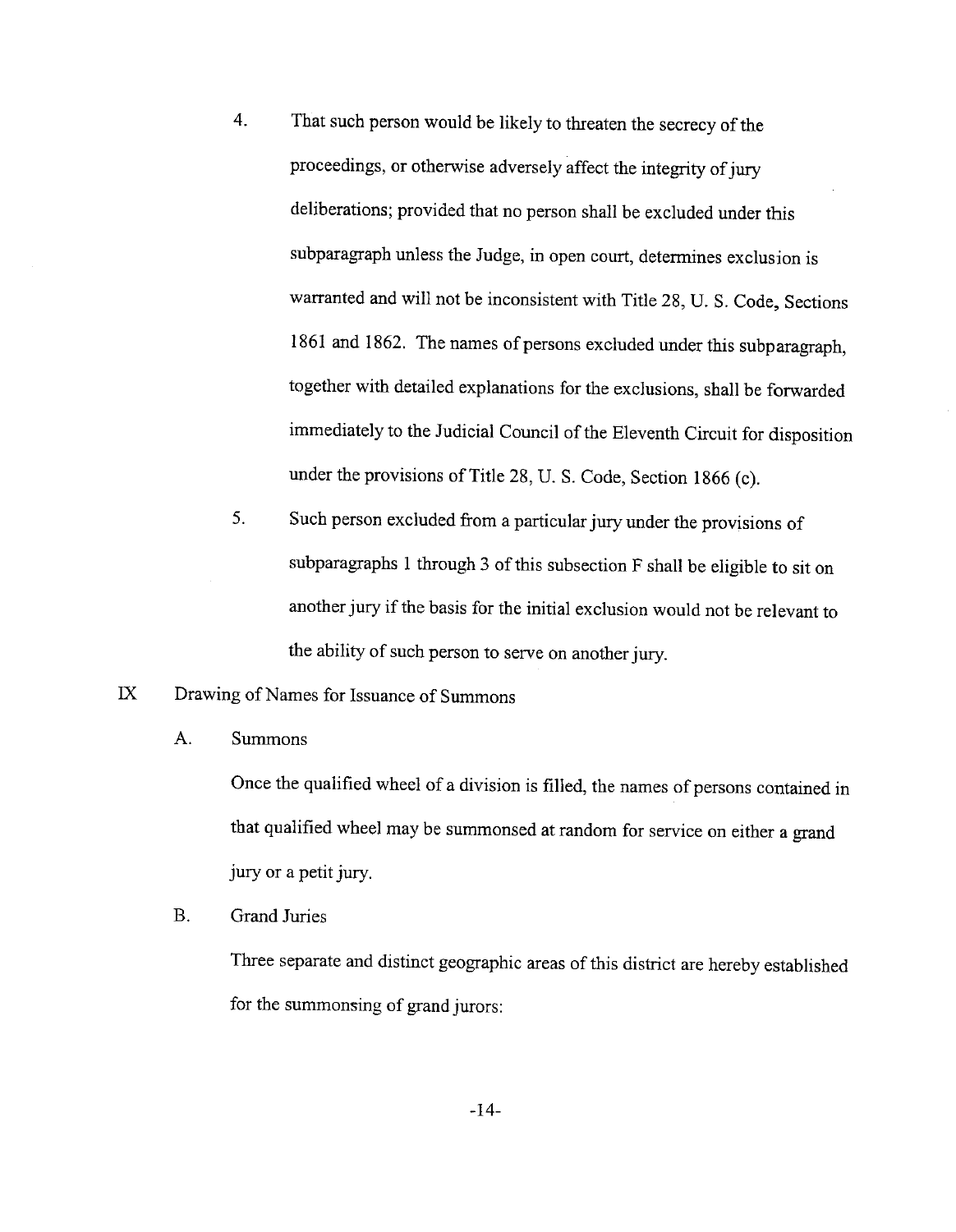- $4.$ That such person would be likely to threaten the secrecy of the proceedings, or otherwise adversely affect the integrity of jury deliberations; provided that no person shall be excluded under this subparagraph unless the Judge, in open court, determines exclusion is warranted and will not be inconsistent with Title 28, U. S. Code, Sections 1861 and 1862. The names of persons excluded under this subparagraph, together with detailed explanations for the exclusions, shall be forwarded immediately to the Judicial Council of the Eleventh Circuit for disposition under the provisions of Title 28, U.S. Code, Section 1866 (c).
- $5<sub>1</sub>$ Such person excluded from a particular jury under the provisions of subparagraphs 1 through 3 of this subsection F shall be eligible to sit on another jury if the basis for the initial exclusion would not be relevant to the ability of such person to serve on another jury.
- $IX$ Drawing of Names for Issuance of Summons

#### A. Summons

Once the qualified wheel of a division is filled, the names of persons contained in that qualified wheel may be summonsed at random for service on either a grand jury or a petit jury.

#### **B. Grand Juries**

Three separate and distinct geographic areas of this district are hereby established for the summonsing of grand jurors: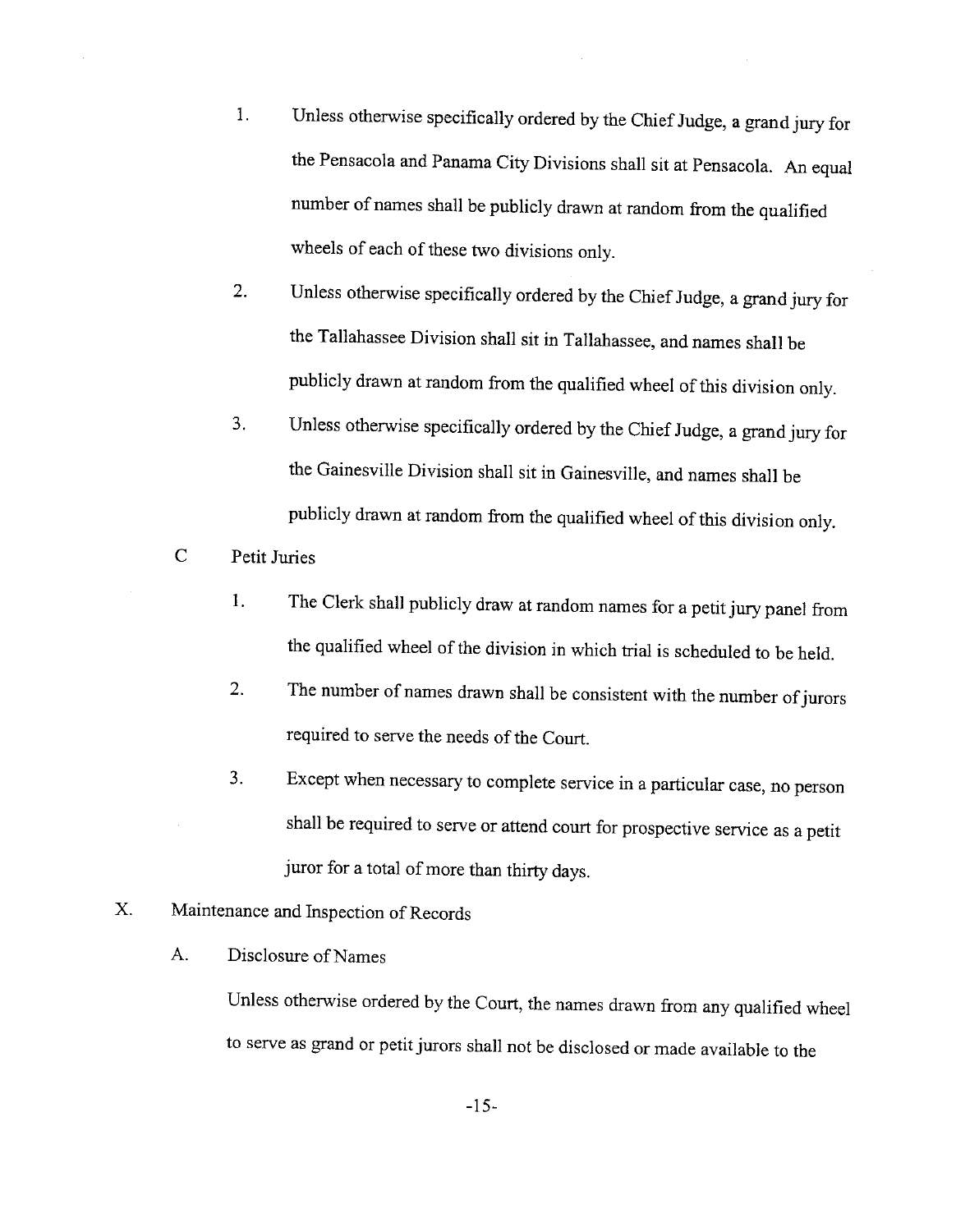- Unless otherwise specifically ordered by the Chief Judge, a grand jury for  $1.$ the Pensacola and Panama City Divisions shall sit at Pensacola. An equal number of names shall be publicly drawn at random from the qualified wheels of each of these two divisions only.
- Unless otherwise specifically ordered by the Chief Judge, a grand jury for  $2.$ the Tallahassee Division shall sit in Tallahassee, and names shall be publicly drawn at random from the qualified wheel of this division only.
- Unless otherwise specifically ordered by the Chief Judge, a grand jury for  $3.$ the Gainesville Division shall sit in Gainesville, and names shall be publicly drawn at random from the qualified wheel of this division only.
- $\mathbf C$ Petit Juries
	- The Clerk shall publicly draw at random names for a petit jury panel from  $\mathbf{1}$ . the qualified wheel of the division in which trial is scheduled to be held.
	- The number of names drawn shall be consistent with the number of jurors  $\overline{2}$ . required to serve the needs of the Court.
	- Except when necessary to complete service in a particular case, no person 3. shall be required to serve or attend court for prospective service as a petit juror for a total of more than thirty days.
- X. Maintenance and Inspection of Records
	- Disclosure of Names  $A_{\cdot}$

Unless otherwise ordered by the Court, the names drawn from any qualified wheel to serve as grand or petit jurors shall not be disclosed or made available to the

 $-15-$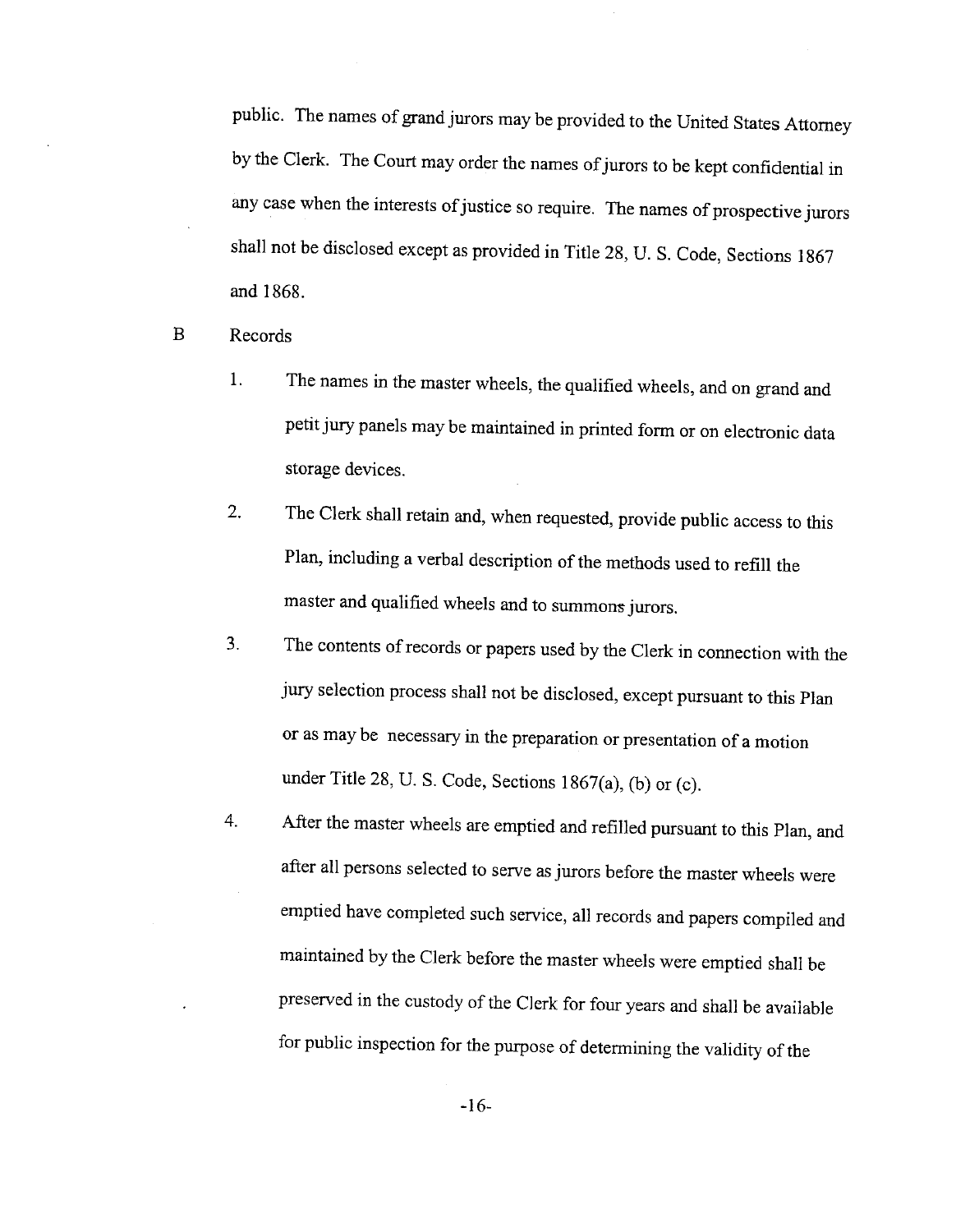public. The names of grand jurors may be provided to the United States Attorney by the Clerk. The Court may order the names of jurors to be kept confidential in any case when the interests of justice so require. The names of prospective jurors shall not be disclosed except as provided in Title 28, U.S. Code, Sections 1867 and 1868.

- $\bf{B}$ Records
	- $\mathbf{1}$ . The names in the master wheels, the qualified wheels, and on grand and petit jury panels may be maintained in printed form or on electronic data storage devices.
	- The Clerk shall retain and, when requested, provide public access to this  $2.$ Plan, including a verbal description of the methods used to refill the master and qualified wheels and to summons jurors.
	- 3. The contents of records or papers used by the Clerk in connection with the jury selection process shall not be disclosed, except pursuant to this Plan or as may be necessary in the preparation or presentation of a motion under Title 28, U.S. Code, Sections 1867(a), (b) or (c).
	- After the master wheels are emptied and refilled pursuant to this Plan, and  $\overline{4}$ . after all persons selected to serve as jurors before the master wheels were emptied have completed such service, all records and papers compiled and maintained by the Clerk before the master wheels were emptied shall be preserved in the custody of the Clerk for four years and shall be available for public inspection for the purpose of determining the validity of the

 $-16-$